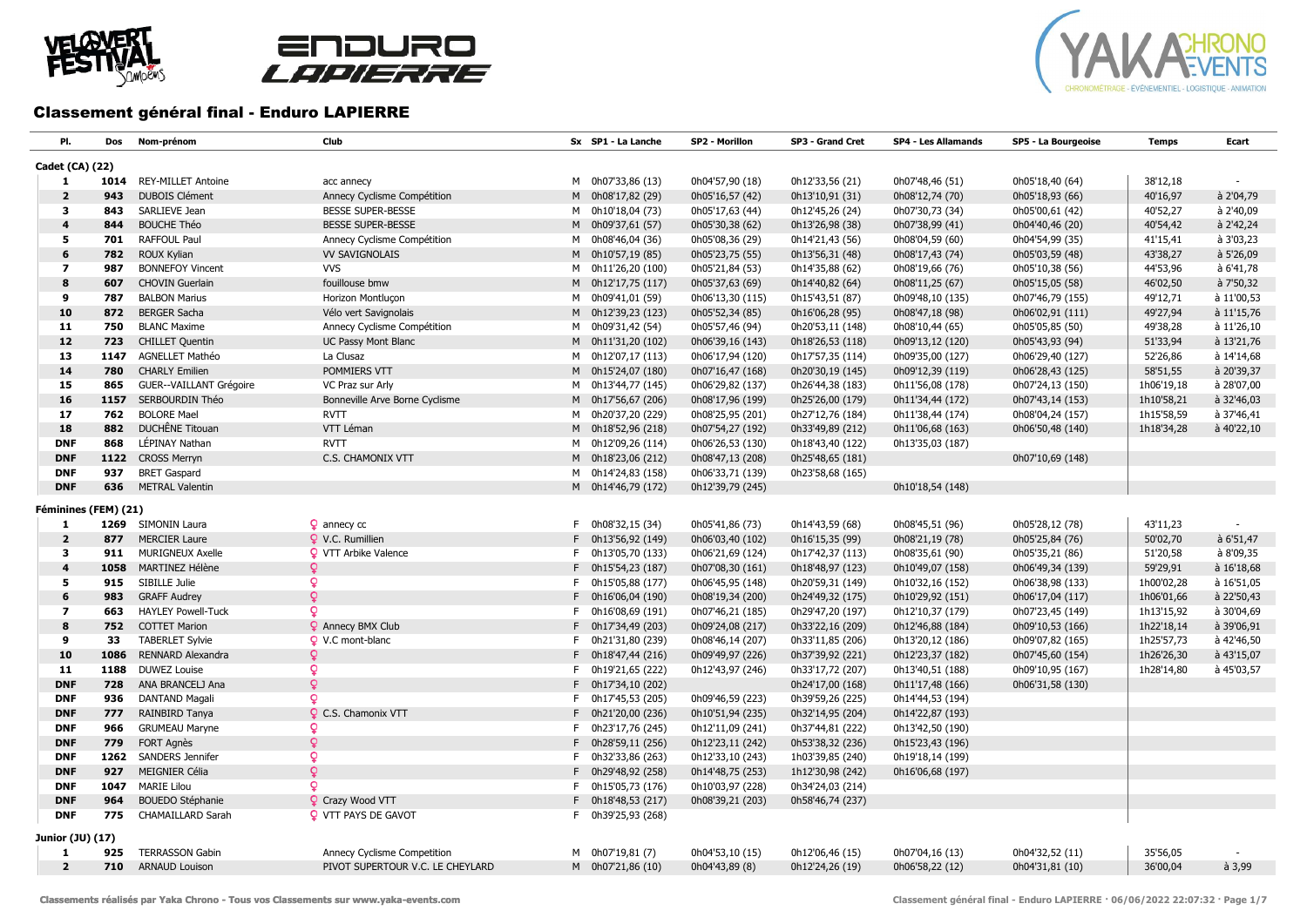





## Classement général final - Enduro LAPIERRE

| PI.                     | Dos  | Nom-prénom                | Club                             | Sx SP1 - La Lanche | SP2 - Morillon   | SP3 - Grand Cret | <b>SP4 - Les Allamands</b> | SP5 - La Bourgeoise | <b>Temps</b> | Ecart          |
|-------------------------|------|---------------------------|----------------------------------|--------------------|------------------|------------------|----------------------------|---------------------|--------------|----------------|
| Cadet (CA) (22)         |      |                           |                                  |                    |                  |                  |                            |                     |              |                |
| 1                       | 1014 | <b>REY-MILLET Antoine</b> | acc annecy                       | M 0h07'33,86 (13)  | 0h04'57,90 (18)  | 0h12'33,56 (21)  | 0h07'48,46 (51)            | 0h05'18,40 (64)     | 38'12,18     |                |
| $\overline{2}$          | 943  | <b>DUBOIS Clément</b>     | Annecy Cyclisme Compétition      | M 0h08'17,82 (29)  | 0h05'16,57 (42)  | 0h13'10,91 (31)  | 0h08'12,74 (70)            | 0h05'18,93 (66)     | 40'16,97     | à 2'04,79      |
| 3                       | 843  | SARLIEVE Jean             | <b>BESSE SUPER-BESSE</b>         | M 0h10'18,04 (73)  | 0h05'17,63 (44)  | 0h12'45,26 (24)  | 0h07'30,73 (34)            | 0h05'00,61 (42)     | 40'52,27     | à 2'40,09      |
| 4                       | 844  | <b>BOUCHE Théo</b>        | <b>BESSE SUPER-BESSE</b>         | M 0h09'37,61 (57)  | 0h05'30,38 (62)  | 0h13'26,98 (38)  | 0h07'38,99 (41)            | 0h04'40,46 (20)     | 40'54,42     | à 2'42,24      |
| 5                       | 701  | <b>RAFFOUL Paul</b>       | Annecy Cyclisme Compétition      | M 0h08'46,04 (36)  | 0h05'08,36 (29)  | 0h14'21,43 (56)  | 0h08'04,59 (60)            | 0h04'54,99 (35)     | 41'15,41     | à 3'03,23      |
| 6                       | 782  | <b>ROUX Kylian</b>        | <b>VV SAVIGNOLAIS</b>            | M 0h10'57,19 (85)  | 0h05'23,75 (55)  | 0h13'56,31 (48)  | 0h08'17,43 (74)            | 0h05'03,59 (48)     | 43'38,27     | à 5'26,09      |
| $\overline{\mathbf{z}}$ | 987  | <b>BONNEFOY Vincent</b>   | <b>VVS</b>                       | M 0h11'26,20 (100) | 0h05'21,84 (53)  | 0h14'35,88 (62)  | 0h08'19,66 (76)            | 0h05'10,38 (56)     | 44'53,96     | à 6'41,78      |
| 8                       | 607  | <b>CHOVIN Guerlain</b>    | fouillouse bmw                   | M 0h12'17,75 (117) | 0h05'37,63 (69)  | 0h14'40,82 (64)  | 0h08'11,25 (67)            | 0h05'15,05 (58)     | 46'02,50     | à 7'50,32      |
| 9                       | 787  | <b>BALBON Marius</b>      | Horizon Montluçon                | M 0h09'41,01 (59)  | 0h06'13,30 (115) | 0h15'43,51 (87)  | 0h09'48,10 (135)           | 0h07'46,79 (155)    | 49'12,71     | à 11'00,53     |
| 10                      | 872  | <b>BERGER Sacha</b>       | Vélo vert Savignolais            | M 0h12'39,23 (123) | 0h05'52,34 (85)  | 0h16'06,28 (95)  | 0h08'47,18 (98)            | 0h06'02,91 (111)    | 49'27,94     | à 11'15,76     |
| 11                      | 750  | <b>BLANC Maxime</b>       | Annecy Cyclisme Compétition      | M 0h09'31,42 (54)  | 0h05'57,46 (94)  | 0h20'53,11 (148) | 0h08'10,44 (65)            | 0h05'05,85 (50)     | 49'38,28     | à 11'26,10     |
| 12                      | 723  | <b>CHILLET Quentin</b>    | UC Passy Mont Blanc              | M 0h11'31,20 (102) | 0h06'39,16 (143) | 0h18'26,53 (118) | 0h09'13,12 (120)           | 0h05'43,93 (94)     | 51'33,94     | à 13'21,76     |
| 13                      | 1147 | <b>AGNELLET Mathéo</b>    | La Clusaz                        | M 0h12'07,17 (113) | 0h06'17,94 (120) | 0h17'57,35 (114) | 0h09'35,00 (127)           | 0h06'29,40 (127)    | 52'26,86     | à 14'14,68     |
| 14                      | 780  | <b>CHARLY Emilien</b>     | POMMIERS VTT                     | M 0h15'24,07 (180) | 0h07'16,47 (168) | 0h20'30,19 (145) | 0h09'12,39 (119)           | 0h06'28,43 (125)    | 58'51,55     | à 20'39,37     |
| 15                      | 865  | GUER--VAILLANT Grégoire   | VC Praz sur Arly                 | M 0h13'44,77 (145) | 0h06'29,82 (137) | 0h26'44,38 (183) | 0h11'56,08 (178)           | 0h07'24,13 (150)    | 1h06'19,18   | à 28'07,00     |
| 16                      | 1157 | SERBOURDIN Théo           | Bonneville Arve Borne Cyclisme   | M 0h17'56,67 (206) | 0h08'17,96 (199) | 0h25'26,00 (179) | 0h11'34,44 (172)           | 0h07'43,14 (153)    | 1h10'58,21   | à 32'46,03     |
| 17                      | 762  | <b>BOLORE Mael</b>        | <b>RVTT</b>                      | M 0h20'37,20 (229) | 0h08'25,95 (201) | 0h27'12,76 (184) | 0h11'38,44 (174)           | 0h08'04,24 (157)    | 1h15'58,59   | à 37'46,41     |
| 18                      | 882  | DUCHÊNE Titouan           | VTT Léman                        | M 0h18'52,96 (218) | 0h07'54,27 (192) | 0h33'49,89 (212) | 0h11'06,68 (163)           | 0h06'50,48 (140)    | 1h18'34,28   | à 40'22,10     |
| <b>DNF</b>              | 868  | LÉPINAY Nathan            | <b>RVTT</b>                      | M 0h12'09,26 (114) | 0h06'26,53 (130) | 0h18'43,40 (122) | 0h13'35,03 (187)           |                     |              |                |
| <b>DNF</b>              |      | 1122 CROSS Merryn         | C.S. CHAMONIX VTT                | M 0h18'23,06 (212) | 0h08'47,13 (208) | 0h25'48,65 (181) |                            | 0h07'10,69 (148)    |              |                |
| <b>DNF</b>              | 937  | <b>BRET Gaspard</b>       |                                  | M 0h14'24,83 (158) | 0h06'33,71 (139) | 0h23'58,68 (165) |                            |                     |              |                |
| <b>DNF</b>              | 636  | <b>METRAL Valentin</b>    |                                  | M 0h14'46,79 (172) | 0h12'39,79 (245) |                  | 0h10'18,54 (148)           |                     |              |                |
|                         |      |                           |                                  |                    |                  |                  |                            |                     |              |                |
| Féminines (FEM) (21)    |      |                           |                                  |                    |                  |                  |                            |                     |              |                |
| 1                       |      | 1269 SIMONIN Laura        | $\Omega$ annecy cc               | F 0h08'32,15 (34)  | 0h05'41,86 (73)  | 0h14'43,59 (68)  | 0h08'45,51 (96)            | 0h05'28,12 (78)     | 43'11,23     |                |
| $\overline{2}$          | 877  | <b>MERCIER Laure</b>      | Q V.C. Rumillien                 | F 0h13'56,92 (149) | 0h06'03,40 (102) | 0h16'15,35 (99)  | 0h08'21,19 (78)            | 0h05'25,84 (76)     | 50'02,70     | à 6'51,47      |
| 3                       | 911  | MURIGNEUX Axelle          | <b>Q</b> VTT Arbike Valence      | F 0h13'05,70 (133) | 0h06'21,69 (124) | 0h17'42,37 (113) | 0h08'35,61 (90)            | 0h05'35,21 (86)     | 51'20,58     | à 8'09,35      |
| 4                       | 1058 | <b>MARTINEZ Hélène</b>    | ¥                                | F 0h15'54,23 (187) | 0h07'08,30 (161) | 0h18'48,97 (123) | 0h10'49,07 (158)           | 0h06'49,34 (139)    | 59'29,91     | à 16'18,68     |
| 5                       | 915  | SIBILLE Julie             | Q                                | F 0h15'05,88 (177) | 0h06'45,95 (148) | 0h20'59,31 (149) | 0h10'32,16 (152)           | 0h06'38,98 (133)    | 1h00'02,28   | à 16'51,05     |
| 6                       | 983  | <b>GRAFF Audrey</b>       | ò                                | F 0h16'06,04 (190) | 0h08'19,34 (200) | 0h24'49,32 (175) | 0h10'29,92 (151)           | 0h06'17,04 (117)    | 1h06'01,66   | à 22'50,43     |
| $\overline{\mathbf{z}}$ | 663  | <b>HAYLEY Powell-Tuck</b> | Q                                | F 0h16'08,69 (191) | 0h07'46,21 (185) | 0h29'47,20 (197) | 0h12'10,37 (179)           | 0h07'23,45 (149)    | 1h13'15,92   | à 30'04,69     |
| 8                       | 752  | <b>COTTET Marion</b>      | <b>Q</b> Annecy BMX Club         | F 0h17'34,49 (203) | 0h09'24,08 (217) | 0h33'22,16 (209) | 0h12'46,88 (184)           | 0h09'10,53 (166)    | 1h22'18,14   | à 39'06,91     |
| 9                       | 33   | <b>TABERLET Sylvie</b>    | Q V.C mont-blanc                 | F 0h21'31,80 (239) | 0h08'46,14 (207) | 0h33'11,85 (206) | 0h13'20,12 (186)           | 0h09'07,82 (165)    | 1h25'57,73   | à 42'46,50     |
| 10                      | 1086 | <b>RENNARD Alexandra</b>  | Q                                | F 0h18'47,44 (216) | 0h09'49,97 (226) | 0h37'39,92 (221) | 0h12'23,37 (182)           | 0h07'45,60 (154)    | 1h26'26,30   | à 43'15,07     |
| 11                      | 1188 | <b>DUWEZ Louise</b>       | Q.                               | F 0h19'21,65 (222) | 0h12'43,97 (246) | 0h33'17,72 (207) | 0h13'40,51 (188)           | 0h09'10,95 (167)    | 1h28'14,80   | à 45'03,57     |
| <b>DNF</b>              | 728  | ANA BRANCELJ Ana          | Q                                | F 0h17'34,10 (202) |                  | 0h24'17,00 (168) | 0h11'17,48 (166)           | 0h06'31,58 (130)    |              |                |
| <b>DNF</b>              | 936  | <b>DANTAND Magali</b>     | Q.                               | F 0h17'45,53 (205) | 0h09'46,59 (223) | 0h39'59,26 (225) | 0h14'44,53 (194)           |                     |              |                |
| <b>DNF</b>              | 777  | RAINBIRD Tanya            | <b>Q</b> C.S. Chamonix VTT       | F 0h21'20,00 (236) | 0h10'51,94 (235) | 0h32'14,95 (204) | 0h14'22,87 (193)           |                     |              |                |
| <b>DNF</b>              | 966  | <b>GRUMEAU Maryne</b>     | Q                                | F 0h23'17,76 (245) | 0h12'11,09 (241) | 0h37'44,81 (222) | 0h13'42,50 (190)           |                     |              |                |
| <b>DNF</b>              | 779  | <b>FORT Agnès</b>         | Q                                | F 0h28'59,11 (256) | 0h12'23,11 (242) | 0h53'38,32 (236) | 0h15'23,43 (196)           |                     |              |                |
| <b>DNF</b>              | 1262 | SANDERS Jennifer          | Q                                | F 0h32'33,86 (263) | 0h12'33,10 (243) | 1h03'39,85 (240) | 0h19'18,14 (199)           |                     |              |                |
| <b>DNF</b>              | 927  | <b>MEIGNIER Célia</b>     | Q.                               | F 0h29'48,92 (258) | 0h14'48,75 (253) | 1h12'30,98 (242) | 0h16'06,68 (197)           |                     |              |                |
| <b>DNF</b>              | 1047 | <b>MARIE Lilou</b>        | Q.                               | F 0h15'05,73 (176) | 0h10'03,97 (228) | 0h34'24,03 (214) |                            |                     |              |                |
| <b>DNF</b>              | 964  | <b>BOUEDO Stéphanie</b>   | Crazy Wood VTT                   | F 0h18'48,53 (217) | 0h08'39,21 (203) | 0h58'46,74 (237) |                            |                     |              |                |
| <b>DNF</b>              | 775  | <b>CHAMAILLARD Sarah</b>  | <b>Q</b> VTT PAYS DE GAVOT       | F 0h39'25,93 (268) |                  |                  |                            |                     |              |                |
| Junior (JU) (17)        |      |                           |                                  |                    |                  |                  |                            |                     |              |                |
| 1                       | 925  | <b>TERRASSON Gabin</b>    | Annecy Cyclisme Competition      | M 0h07'19,81 (7)   | 0h04'53,10 (15)  | 0h12'06,46 (15)  | 0h07'04,16 (13)            | 0h04'32,52 (11)     | 35'56,05     |                |
| $\overline{2}$          | 710  | <b>ARNAUD Louison</b>     | PIVOT SUPERTOUR V.C. LE CHEYLARD | M 0h07'21,86 (10)  | 0h04'43,89 (8)   | 0h12'24,26 (19)  | 0h06'58,22 (12)            | 0h04'31,81 (10)     | 36'00,04     | $\hat{a}$ 3,99 |
|                         |      |                           |                                  |                    |                  |                  |                            |                     |              |                |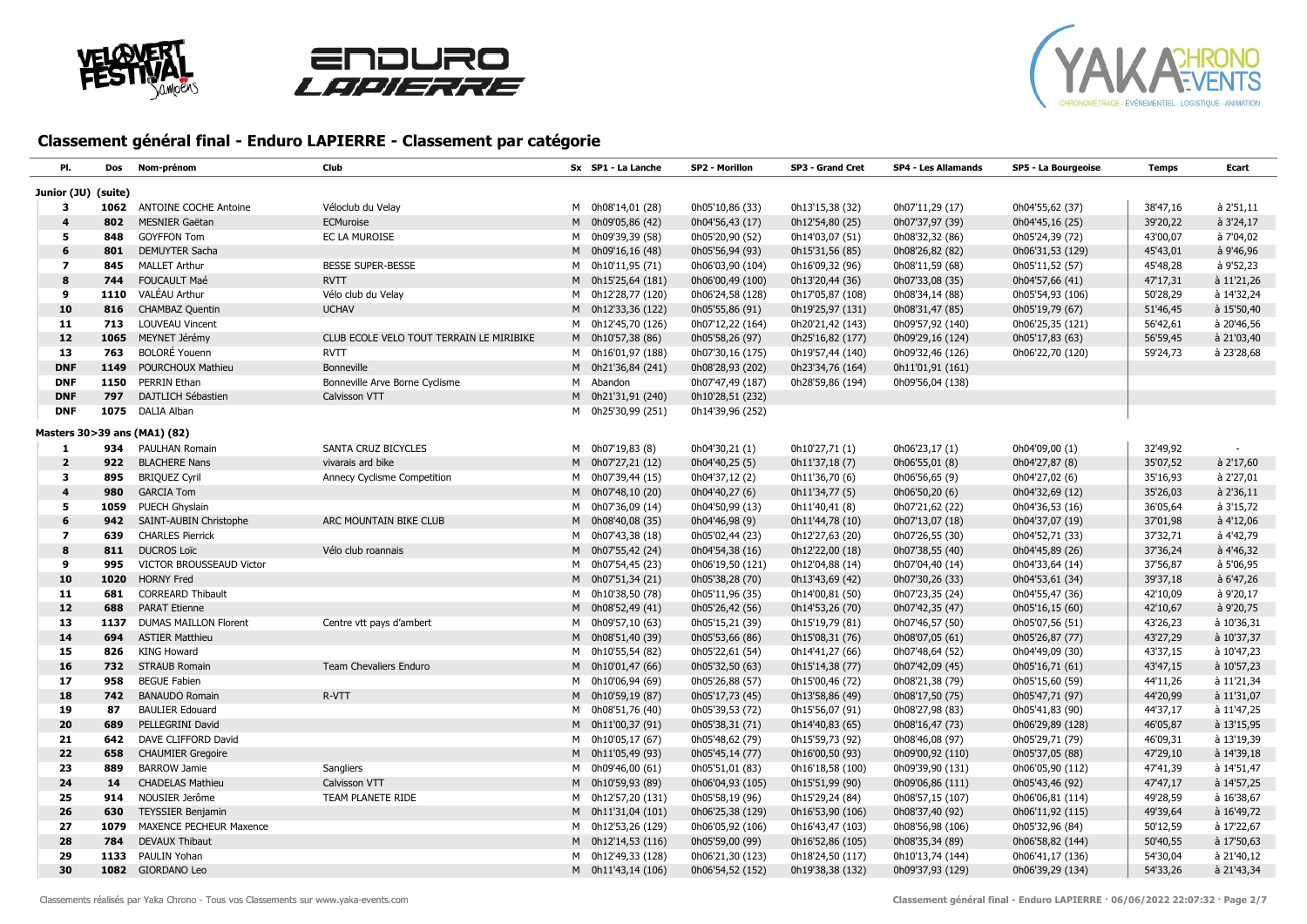





| PI.                     | Dos  | Nom-prénom                   | Club                                     | Sx SP1 - La Lanche | SP2 - Morillon   | SP3 - Grand Cret | <b>SP4 - Les Allamands</b> | SP5 - La Bourgeoise | Temps    | Ecart             |
|-------------------------|------|------------------------------|------------------------------------------|--------------------|------------------|------------------|----------------------------|---------------------|----------|-------------------|
| Junior (JU) (suite)     |      |                              |                                          |                    |                  |                  |                            |                     |          |                   |
| 3                       | 1062 | <b>ANTOINE COCHE Antoine</b> | Véloclub du Velay                        | M 0h08'14,01 (28)  | 0h05'10,86 (33)  | 0h13'15,38 (32)  | 0h07'11,29 (17)            | 0h04'55,62 (37)     | 38'47,16 | à 2'51,11         |
| $\overline{\mathbf{4}}$ | 802  | <b>MESNIER Gaëtan</b>        | ECMuroise                                | M 0h09'05,86 (42)  | 0h04'56,43 (17)  | 0h12'54,80 (25)  | 0h07'37,97 (39)            | 0h04'45,16 (25)     | 39'20,22 | à 3'24,17         |
| 5                       | 848  | <b>GOYFFON Tom</b>           | EC LA MUROISE                            | M 0h09'39,39 (58)  | 0h05'20,90 (52)  | 0h14'03,07 (51)  | 0h08'32,32 (86)            | 0h05'24,39 (72)     | 43'00,07 | à 7'04,02         |
| 6                       | 801  | <b>DEMUYTER Sacha</b>        |                                          | M 0h09'16,16 (48)  | 0h05'56,94 (93)  | 0h15'31,56 (85)  | 0h08'26,82 (82)            | 0h06'31,53 (129)    | 45'43,01 | à 9'46,96         |
| $\overline{\mathbf{z}}$ | 845  | <b>MALLET Arthur</b>         | <b>BESSE SUPER-BESSE</b>                 | M 0h10'11,95 (71)  | 0h06'03,90 (104) | 0h16'09,32 (96)  | 0h08'11,59 (68)            | 0h05'11,52 (57)     | 45'48,28 | à 9'52,23         |
| 8                       | 744  | <b>FOUCAULT Maé</b>          | <b>RVTT</b>                              | M 0h15'25,64 (181) | 0h06'00,49 (100) | 0h13'20,44 (36)  | 0h07'33,08 (35)            | 0h04'57,66 (41)     | 47'17,31 | à 11'21,26        |
| 9                       | 1110 | VALÉAU Arthur                | Vélo club du Velay                       | M 0h12'28,77 (120) | 0h06'24,58 (128) | 0h17'05,87 (108) | 0h08'34,14 (88)            | 0h05'54,93 (106)    | 50'28,29 | à 14'32,24        |
| 10                      | 816  | <b>CHAMBAZ Quentin</b>       | <b>UCHAV</b>                             | M 0h12'33,36 (122) | 0h05'55,86 (91)  | 0h19'25,97 (131) | 0h08'31,47 (85)            | 0h05'19,79 (67)     | 51'46,45 | à 15'50,40        |
| 11                      | 713  | <b>LOUVEAU Vincent</b>       |                                          | M 0h12'45,70 (126) | 0h07'12,22 (164) | 0h20'21,42 (143) | 0h09'57,92 (140)           | 0h06'25,35 (121)    | 56'42,61 | à 20'46,56        |
| 12                      | 1065 | MEYNET Jérémy                | CLUB ECOLE VELO TOUT TERRAIN LE MIRIBIKE | M 0h10'57,38 (86)  | 0h05'58,26 (97)  | 0h25'16,82 (177) | 0h09'29,16 (124)           | 0h05'17,83 (63)     | 56'59,45 | à 21'03,40        |
| 13                      | 763  | <b>BOLORÉ Youenn</b>         | <b>RVTT</b>                              | M 0h16'01,97 (188) | 0h07'30,16 (175) | 0h19'57,44 (140) | 0h09'32,46 (126)           | 0h06'22,70 (120)    | 59'24,73 | à 23'28,68        |
| <b>DNF</b>              | 1149 | POURCHOUX Mathieu            | <b>Bonneville</b>                        | M 0h21'36,84 (241) | 0h08'28,93 (202) | 0h23'34,76 (164) | 0h11'01,91 (161)           |                     |          |                   |
| <b>DNF</b>              | 1150 | PERRIN Ethan                 | Bonneville Arve Borne Cyclisme           | M Abandon          | 0h07'47,49 (187) | 0h28'59,86 (194) | 0h09'56,04 (138)           |                     |          |                   |
| <b>DNF</b>              | 797  | <b>DAJTLICH Sébastien</b>    | Calvisson VTT                            | M 0h21'31,91 (240) | 0h10'28,51 (232) |                  |                            |                     |          |                   |
| <b>DNF</b>              | 1075 | DALIA Alban                  |                                          | M 0h25'30,99 (251) | 0h14'39,96 (252) |                  |                            |                     |          |                   |
|                         |      | Masters 30>39 ans (MA1) (82) |                                          |                    |                  |                  |                            |                     |          |                   |
| 1                       | 934  | PAULHAN Romain               | SANTA CRUZ BICYCLES                      | M 0h07'19,83 (8)   | 0h04'30,21 (1)   | 0h10'27,71 (1)   | 0h06'23,17(1)              | 0h04'09,00 (1)      | 32'49,92 |                   |
| $\overline{2}$          | 922  | <b>BLACHERE Nans</b>         | vivarais ard bike                        | M 0h07'27,21 (12)  | 0h04'40,25 (5)   | 0h11'37,18 (7)   | 0h06'55,01 (8)             | 0h04'27,87 (8)      | 35'07,52 | à 2'17,60         |
| 3                       | 895  | <b>BRIQUEZ Cyril</b>         | Annecy Cyclisme Competition              | M 0h07'39,44 (15)  | 0h04'37,12 (2)   | 0h11'36,70 (6)   | 0h06'56,65 (9)             | 0h04'27,02 (6)      | 35'16,93 | à 2'27,01         |
| 4                       | 980  | <b>GARCIA Tom</b>            |                                          | M 0h07'48,10 (20)  | 0h04'40,27 (6)   | 0h11'34,77 (5)   | 0h06'50,20 (6)             | 0h04'32,69 (12)     | 35'26,03 | $\hat{a}$ 2'36,11 |
| 5                       | 1059 | PUECH Ghyslain               |                                          | M 0h07'36,09 (14)  | 0h04'50,99 (13)  | 0h11'40,41 (8)   | 0h07'21,62 (22)            | 0h04'36,53 (16)     | 36'05,64 | à 3'15,72         |
| 6                       | 942  | SAINT-AUBIN Christophe       | ARC MOUNTAIN BIKE CLUB                   | M 0h08'40,08 (35)  | 0h04'46,98 (9)   | 0h11'44,78 (10)  | 0h07'13,07 (18)            | 0h04'37,07 (19)     | 37'01,98 | à 4'12,06         |
| $\overline{ }$          | 639  | <b>CHARLES Pierrick</b>      |                                          | M 0h07'43,38 (18)  | 0h05'02,44 (23)  | 0h12'27,63 (20)  | 0h07'26,55 (30)            | 0h04'52,71 (33)     | 37'32,71 | à 4'42,79         |
| 8                       | 811  | <b>DUCROS Loïc</b>           | Vélo club roannais                       | M 0h07'55,42 (24)  | 0h04'54,38 (16)  | 0h12'22,00 (18)  | 0h07'38,55 (40)            | 0h04'45,89 (26)     | 37'36,24 | $\hat{a}$ 4'46,32 |
| 9                       | 995  | VICTOR BROUSSEAUD Victor     |                                          | M 0h07'54,45 (23)  | 0h06'19,50 (121) | 0h12'04,88 (14)  | 0h07'04,40 (14)            | 0h04'33,64 (14)     | 37'56,87 | à 5'06,95         |
| 10                      | 1020 | <b>HORNY Fred</b>            |                                          | M 0h07'51,34 (21)  | 0h05'38,28 (70)  | 0h13'43,69 (42)  | 0h07'30,26 (33)            | 0h04'53,61 (34)     | 39'37,18 | à 6'47,26         |
| 11                      | 681  | <b>CORREARD Thibault</b>     |                                          | M 0h10'38,50 (78)  | 0h05'11,96 (35)  | 0h14'00,81 (50)  | 0h07'23,35 (24)            | 0h04'55,47 (36)     | 42'10,09 | à 9'20,17         |
| 12                      | 688  | <b>PARAT Etienne</b>         |                                          | M 0h08'52,49 (41)  | 0h05'26,42 (56)  | 0h14'53,26 (70)  | 0h07'42,35 (47)            | 0h05'16,15 (60)     | 42'10,67 | à 9'20,75         |
| 13                      | 1137 | <b>DUMAS MAILLON Florent</b> | Centre vtt pays d'ambert                 | M 0h09'57,10 (63)  | 0h05'15,21 (39)  | 0h15'19,79 (81)  | 0h07'46,57 (50)            | 0h05'07,56 (51)     | 43'26,23 | à 10'36,31        |
| 14                      | 694  | <b>ASTIER Matthieu</b>       |                                          | M 0h08'51,40 (39)  | 0h05'53,66 (86)  | 0h15'08,31 (76)  | 0h08'07,05 (61)            | 0h05'26,87 (77)     | 43'27,29 | à 10'37,37        |
| 15                      | 826  | <b>KING Howard</b>           |                                          | M 0h10'55,54 (82)  | 0h05'22,61 (54)  | 0h14'41,27 (66)  | 0h07'48,64 (52)            | 0h04'49,09 (30)     | 43'37,15 | à 10'47,23        |
| 16                      | 732  | <b>STRAUB Romain</b>         | Team Chevaliers Enduro                   | M 0h10'01,47 (66)  | 0h05'32,50 (63)  | 0h15'14,38 (77)  | 0h07'42,09 (45)            | 0h05'16,71 (61)     | 43'47,15 | à 10'57,23        |
| 17                      | 958  | <b>BEGUE Fabien</b>          |                                          | M 0h10'06,94 (69)  | 0h05'26,88 (57)  | 0h15'00,46 (72)  | 0h08'21,38 (79)            | 0h05'15,60 (59)     | 44'11,26 | à 11'21,34        |
| 18                      | 742  | <b>BANAUDO Romain</b>        | R-VTT                                    | M 0h10'59,19 (87)  | 0h05'17,73 (45)  | 0h13'58,86 (49)  | 0h08'17,50 (75)            | 0h05'47,71 (97)     | 44'20,99 | à 11'31,07        |
| 19                      | 87   | <b>BAULIER Edouard</b>       |                                          | M 0h08'51,76 (40)  | 0h05'39,53 (72)  | 0h15'56,07 (91)  | 0h08'27,98 (83)            | 0h05'41,83 (90)     | 44'37,17 | à 11'47,25        |
| 20                      | 689  | PELLEGRINI David             |                                          | M 0h11'00,37 (91)  | 0h05'38,31 (71)  | 0h14'40,83 (65)  | 0h08'16,47 (73)            | 0h06'29,89 (128)    | 46'05,87 | à 13'15,95        |
| 21                      | 642  | DAVE CLIFFORD David          |                                          | M 0h10'05,17 (67)  | 0h05'48,62 (79)  | 0h15'59,73 (92)  | 0h08'46,08 (97)            | 0h05'29,71 (79)     | 46'09,31 | à 13'19,39        |
| 22                      | 658  | <b>CHAUMIER Gregoire</b>     |                                          | M 0h11'05,49 (93)  | 0h05'45,14 (77)  | 0h16'00,50 (93)  | 0h09'00,92 (110)           | 0h05'37,05 (88)     | 47'29,10 | à 14'39,18        |
| 23                      | 889  | <b>BARROW Jamie</b>          | Sangliers                                | M 0h09'46,00 (61)  | 0h05'51,01 (83)  | 0h16'18,58 (100) | 0h09'39,90 (131)           | 0h06'05,90 (112)    | 47'41,39 | à 14'51,47        |
| 24                      | 14   | <b>CHADELAS Mathieu</b>      | Calvisson VTT                            | M 0h10'59,93 (89)  | 0h06'04,93 (105) | 0h15'51,99 (90)  | 0h09'06,86 (111)           | 0h05'43,46 (92)     | 47'47,17 | à 14'57,25        |
| 25                      | 914  | NOUSIER Jerôme               | TEAM PLANETE RIDE                        | M 0h12'57,20 (131) | 0h05'58,19 (96)  | 0h15'29,24 (84)  | 0h08'57,15 (107)           | 0h06'06,81 (114)    | 49'28,59 | à 16'38,67        |
| 26                      | 630  | <b>TEYSSIER Benjamin</b>     |                                          | M 0h11'31,04 (101) | 0h06'25,38 (129) | 0h16'53,90 (106) | 0h08'37,40 (92)            | 0h06'11,92 (115)    | 49'39,64 | à 16'49,72        |
| 27                      | 1079 | MAXENCE PECHEUR Maxence      |                                          | M 0h12'53,26 (129) | 0h06'05,92 (106) | 0h16'43,47 (103) | 0h08'56,98 (106)           | 0h05'32,96 (84)     | 50'12,59 | à 17'22,67        |
| 28                      | 784  | <b>DEVAUX Thibaut</b>        |                                          | M 0h12'14,53 (116) | 0h05'59,00 (99)  | 0h16'52,86 (105) | 0h08'35,34 (89)            | 0h06'58,82 (144)    | 50'40,55 | à 17'50,63        |
| 29                      | 1133 | PAULIN Yohan                 |                                          | M 0h12'49,33 (128) | 0h06'21,30 (123) | 0h18'24,50 (117) | 0h10'13,74 (144)           | 0h06'41,17 (136)    | 54'30,04 | à 21'40,12        |
| 30                      |      | 1082 GIORDANO Leo            |                                          | M 0h11'43,14 (106) | 0h06'54,52 (152) | 0h19'38,38 (132) | 0h09'37,93 (129)           | 0h06'39,29 (134)    | 54'33,26 | à 21'43,34        |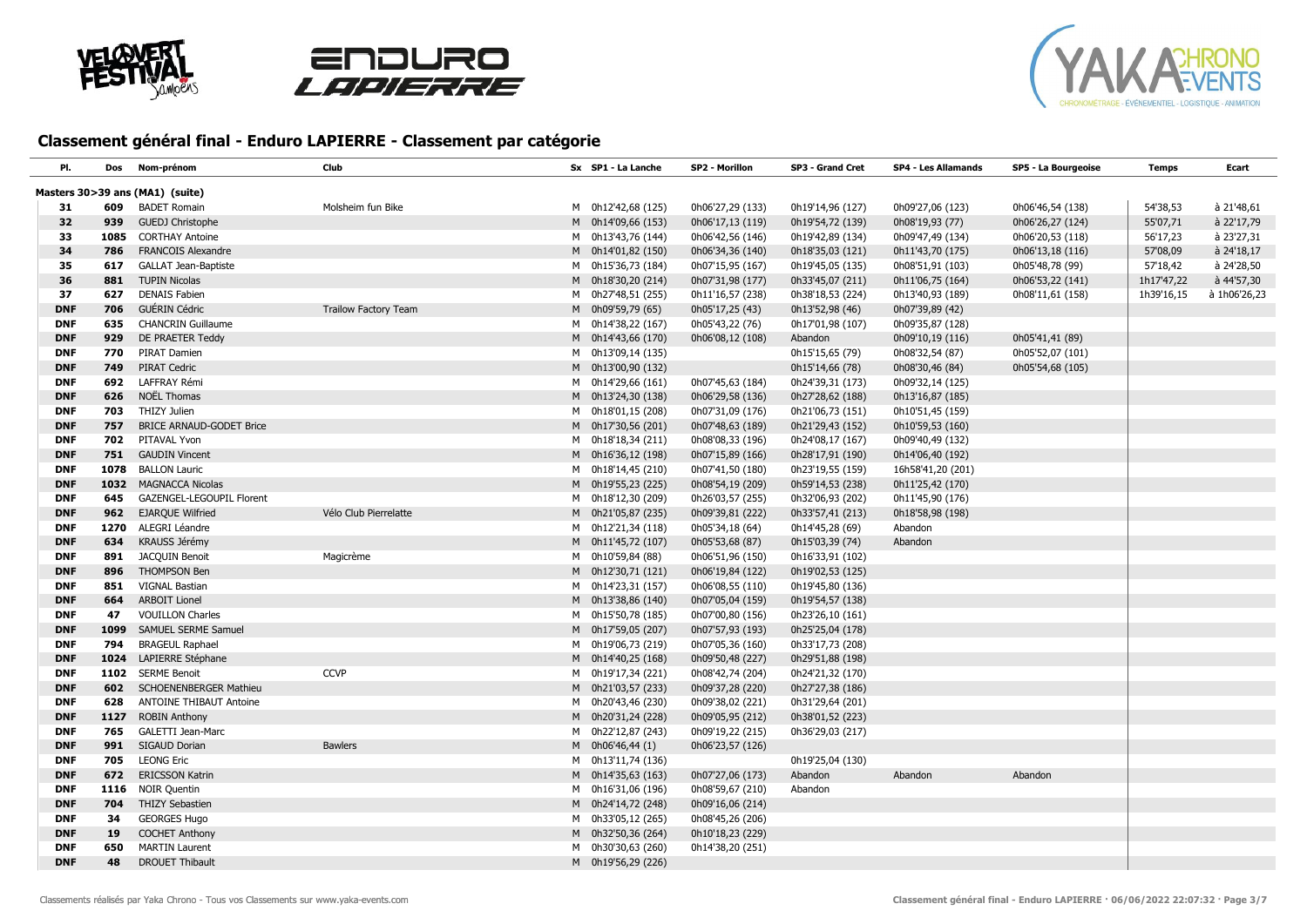





| PI.        | Dos  | Nom-prénom                                             | Club                        | Sx SP1 - La Lanche | SP2 - Morillon   | SP3 - Grand Cret                     | <b>SP4 - Les Allamands</b>          | SP5 - La Bourgeoise                  | <b>Temps</b> | Ecart        |
|------------|------|--------------------------------------------------------|-----------------------------|--------------------|------------------|--------------------------------------|-------------------------------------|--------------------------------------|--------------|--------------|
|            |      |                                                        |                             |                    |                  |                                      |                                     |                                      |              |              |
|            | 609  | Masters 30>39 ans (MA1) (suite)<br><b>BADET Romain</b> | Molsheim fun Bike           | M 0h12'42,68 (125) | 0h06'27,29 (133) | 0h19'14,96 (127)                     | 0h09'27,06 (123)                    |                                      | 54'38,53     | à 21'48,61   |
| 31<br>32   | 939  | <b>GUEDJ Christophe</b>                                |                             | M 0h14'09,66 (153) | 0h06'17,13 (119) |                                      |                                     | 0h06'46,54 (138)                     | 55'07,71     | à 22'17,79   |
| 33         | 1085 | <b>CORTHAY Antoine</b>                                 |                             | M 0h13'43,76 (144) | 0h06'42,56 (146) | 0h19'54,72 (139)<br>0h19'42,89 (134) | 0h08'19,93 (77)<br>0h09'47,49 (134) | 0h06'26,27 (124)<br>0h06'20,53 (118) | 56'17,23     | à 23'27,31   |
| 34         | 786  | <b>FRANCOIS Alexandre</b>                              |                             | M 0h14'01,82 (150) | 0h06'34,36 (140) | 0h18'35,03 (121)                     | 0h11'43,70 (175)                    | 0h06'13,18 (116)                     | 57'08,09     | à 24'18,17   |
| 35         | 617  | <b>GALLAT Jean-Baptiste</b>                            |                             | M 0h15'36,73 (184) | 0h07'15,95 (167) | 0h19'45,05 (135)                     | 0h08'51,91 (103)                    | 0h05'48,78 (99)                      | 57'18,42     | à 24'28,50   |
| 36         | 881  | <b>TUPIN Nicolas</b>                                   |                             | M 0h18'30,20 (214) | 0h07'31,98 (177) | 0h33'45,07 (211)                     | 0h11'06,75 (164)                    | 0h06'53,22 (141)                     | 1h17'47,22   | à 44'57,30   |
| 37         | 627  | <b>DENAIS Fabien</b>                                   |                             | M 0h27'48,51 (255) | 0h11'16,57 (238) | 0h38'18,53 (224)                     | 0h13'40,93 (189)                    | 0h08'11,61 (158)                     | 1h39'16,15   | à 1h06'26,23 |
| <b>DNF</b> | 706  | GUÉRIN Cédric                                          | <b>Trailow Factory Team</b> | M 0h09'59,79 (65)  | 0h05'17,25 (43)  | 0h13'52,98 (46)                      | 0h07'39,89 (42)                     |                                      |              |              |
| <b>DNF</b> | 635  | <b>CHANCRIN Guillaume</b>                              |                             | M 0h14'38,22 (167) | 0h05'43,22 (76)  | 0h17'01,98 (107)                     | 0h09'35,87 (128)                    |                                      |              |              |
| <b>DNF</b> | 929  | DE PRAETER Teddy                                       |                             | M 0h14'43,66 (170) | 0h06'08,12 (108) | Abandon                              | 0h09'10,19 (116)                    | 0h05'41,41 (89)                      |              |              |
| <b>DNF</b> | 770  | PIRAT Damien                                           |                             | M 0h13'09,14 (135) |                  | 0h15'15,65 (79)                      | 0h08'32,54 (87)                     | 0h05'52,07 (101)                     |              |              |
| <b>DNF</b> | 749  | <b>PIRAT Cedric</b>                                    |                             | M 0h13'00,90 (132) |                  | 0h15'14,66 (78)                      | 0h08'30,46 (84)                     | 0h05'54,68 (105)                     |              |              |
| <b>DNF</b> | 692  | LAFFRAY Rémi                                           |                             | M 0h14'29,66 (161) | 0h07'45,63 (184) | 0h24'39,31 (173)                     | 0h09'32,14 (125)                    |                                      |              |              |
| <b>DNF</b> | 626  | NOËL Thomas                                            |                             | M 0h13'24,30 (138) | 0h06'29,58 (136) | 0h27'28,62 (188)                     | 0h13'16,87 (185)                    |                                      |              |              |
| <b>DNF</b> | 703  | THIZY Julien                                           |                             | M 0h18'01,15 (208) | 0h07'31,09 (176) | 0h21'06,73 (151)                     | 0h10'51,45 (159)                    |                                      |              |              |
| <b>DNF</b> | 757  | <b>BRICE ARNAUD-GODET Brice</b>                        |                             | M 0h17'30,56 (201) | 0h07'48,63 (189) | 0h21'29,43 (152)                     | 0h10'59,53 (160)                    |                                      |              |              |
| <b>DNF</b> | 702  | PITAVAL Yvon                                           |                             | M 0h18'18,34 (211) | 0h08'08,33 (196) | 0h24'08,17 (167)                     | 0h09'40,49 (132)                    |                                      |              |              |
| <b>DNF</b> | 751  | <b>GAUDIN Vincent</b>                                  |                             | M 0h16'36,12 (198) | 0h07'15,89 (166) | 0h28'17,91 (190)                     | 0h14'06,40 (192)                    |                                      |              |              |
| <b>DNF</b> | 1078 | <b>BALLON Lauric</b>                                   |                             | M 0h18'14,45 (210) | 0h07'41,50 (180) | 0h23'19,55 (159)                     | 16h58'41,20 (201)                   |                                      |              |              |
| <b>DNF</b> |      | 1032 MAGNACCA Nicolas                                  |                             | M 0h19'55,23 (225) | 0h08'54,19 (209) | 0h59'14,53 (238)                     | 0h11'25,42 (170)                    |                                      |              |              |
| <b>DNF</b> | 645  | GAZENGEL-LEGOUPIL Florent                              |                             | M 0h18'12,30 (209) | 0h26'03,57 (255) | 0h32'06,93 (202)                     | 0h11'45,90 (176)                    |                                      |              |              |
| <b>DNF</b> | 962  | <b>EJARQUE Wilfried</b>                                | Vélo Club Pierrelatte       | M 0h21'05,87 (235) | 0h09'39,81 (222) | 0h33'57,41 (213)                     | 0h18'58,98 (198)                    |                                      |              |              |
| <b>DNF</b> |      | 1270 ALEGRI Léandre                                    |                             | M 0h12'21,34 (118) | 0h05'34,18 (64)  | 0h14'45,28 (69)                      | Abandon                             |                                      |              |              |
| <b>DNF</b> | 634  | KRAUSS Jérémy                                          |                             | M 0h11'45,72 (107) | 0h05'53,68 (87)  | 0h15'03,39 (74)                      | Abandon                             |                                      |              |              |
| <b>DNF</b> | 891  | <b>JACQUIN Benoit</b>                                  | Magicrème                   | M 0h10'59,84 (88)  | 0h06'51,96 (150) | 0h16'33,91 (102)                     |                                     |                                      |              |              |
| <b>DNF</b> | 896  | <b>THOMPSON Ben</b>                                    |                             | M 0h12'30,71 (121) | 0h06'19,84 (122) | 0h19'02,53 (125)                     |                                     |                                      |              |              |
| <b>DNF</b> | 851  | <b>VIGNAL Bastian</b>                                  |                             | M 0h14'23,31 (157) | 0h06'08,55 (110) | 0h19'45,80 (136)                     |                                     |                                      |              |              |
| <b>DNF</b> | 664  | <b>ARBOIT Lionel</b>                                   |                             | M 0h13'38,86 (140) | 0h07'05,04 (159) | 0h19'54,57 (138)                     |                                     |                                      |              |              |
| <b>DNF</b> | 47   | <b>VOUILLON Charles</b>                                |                             | M 0h15'50,78 (185) | 0h07'00,80 (156) | 0h23'26,10 (161)                     |                                     |                                      |              |              |
| <b>DNF</b> | 1099 | SAMUEL SERME Samuel                                    |                             | M 0h17'59,05 (207) | 0h07'57,93 (193) | 0h25'25,04 (178)                     |                                     |                                      |              |              |
| <b>DNF</b> | 794  | <b>BRAGEUL Raphael</b>                                 |                             | M 0h19'06,73 (219) | 0h07'05,36 (160) | 0h33'17,73 (208)                     |                                     |                                      |              |              |
| <b>DNF</b> | 1024 | LAPIERRE Stéphane                                      |                             | M 0h14'40,25 (168) | 0h09'50,48 (227) | 0h29'51,88 (198)                     |                                     |                                      |              |              |
| <b>DNF</b> | 1102 | <b>SERME Benoit</b>                                    | <b>CCVP</b>                 | M 0h19'17,34 (221) | 0h08'42,74 (204) | 0h24'21,32 (170)                     |                                     |                                      |              |              |
| <b>DNF</b> | 602  | <b>SCHOENENBERGER Mathieu</b>                          |                             | M 0h21'03,57 (233) | 0h09'37,28 (220) | 0h27'27,38 (186)                     |                                     |                                      |              |              |
| <b>DNF</b> | 628  | ANTOINE THIBAUT Antoine                                |                             | M 0h20'43,46 (230) | 0h09'38,02 (221) | 0h31'29,64 (201)                     |                                     |                                      |              |              |
| <b>DNF</b> | 1127 | <b>ROBIN Anthony</b>                                   |                             | M 0h20'31,24 (228) | 0h09'05,95 (212) | 0h38'01,52 (223)                     |                                     |                                      |              |              |
| <b>DNF</b> | 765  | GALETTI Jean-Marc                                      |                             | M 0h22'12,87 (243) | 0h09'19,22 (215) | 0h36'29,03 (217)                     |                                     |                                      |              |              |
| <b>DNF</b> | 991  | SIGAUD Dorian                                          | <b>Bawlers</b>              | M 0h06'46,44 (1)   | 0h06'23,57 (126) |                                      |                                     |                                      |              |              |
| <b>DNF</b> | 705  | <b>LEONG Eric</b>                                      |                             | M 0h13'11,74 (136) |                  | 0h19'25,04 (130)                     |                                     |                                      |              |              |
| <b>DNF</b> | 672  | <b>ERICSSON Katrin</b>                                 |                             | M 0h14'35,63 (163) | 0h07'27,06 (173) | Abandon                              | Abandon                             | Abandon                              |              |              |
| <b>DNF</b> |      | 1116 NOIR Quentin                                      |                             | M 0h16'31,06 (196) | 0h08'59,67 (210) | Abandon                              |                                     |                                      |              |              |
| <b>DNF</b> | 704  | <b>THIZY Sebastien</b>                                 |                             | M 0h24'14,72 (248) | 0h09'16,06 (214) |                                      |                                     |                                      |              |              |
| <b>DNF</b> | 34   | <b>GEORGES Hugo</b>                                    |                             | M 0h33'05,12 (265) | 0h08'45,26 (206) |                                      |                                     |                                      |              |              |
| <b>DNF</b> | 19   | <b>COCHET Anthony</b>                                  |                             | M 0h32'50,36 (264) | 0h10'18,23 (229) |                                      |                                     |                                      |              |              |
| <b>DNF</b> | 650  | <b>MARTIN Laurent</b>                                  |                             | M 0h30'30,63 (260) | 0h14'38,20 (251) |                                      |                                     |                                      |              |              |
| <b>DNF</b> | 48   | <b>DROUET Thibault</b>                                 |                             | M 0h19'56,29 (226) |                  |                                      |                                     |                                      |              |              |
|            |      |                                                        |                             |                    |                  |                                      |                                     |                                      |              |              |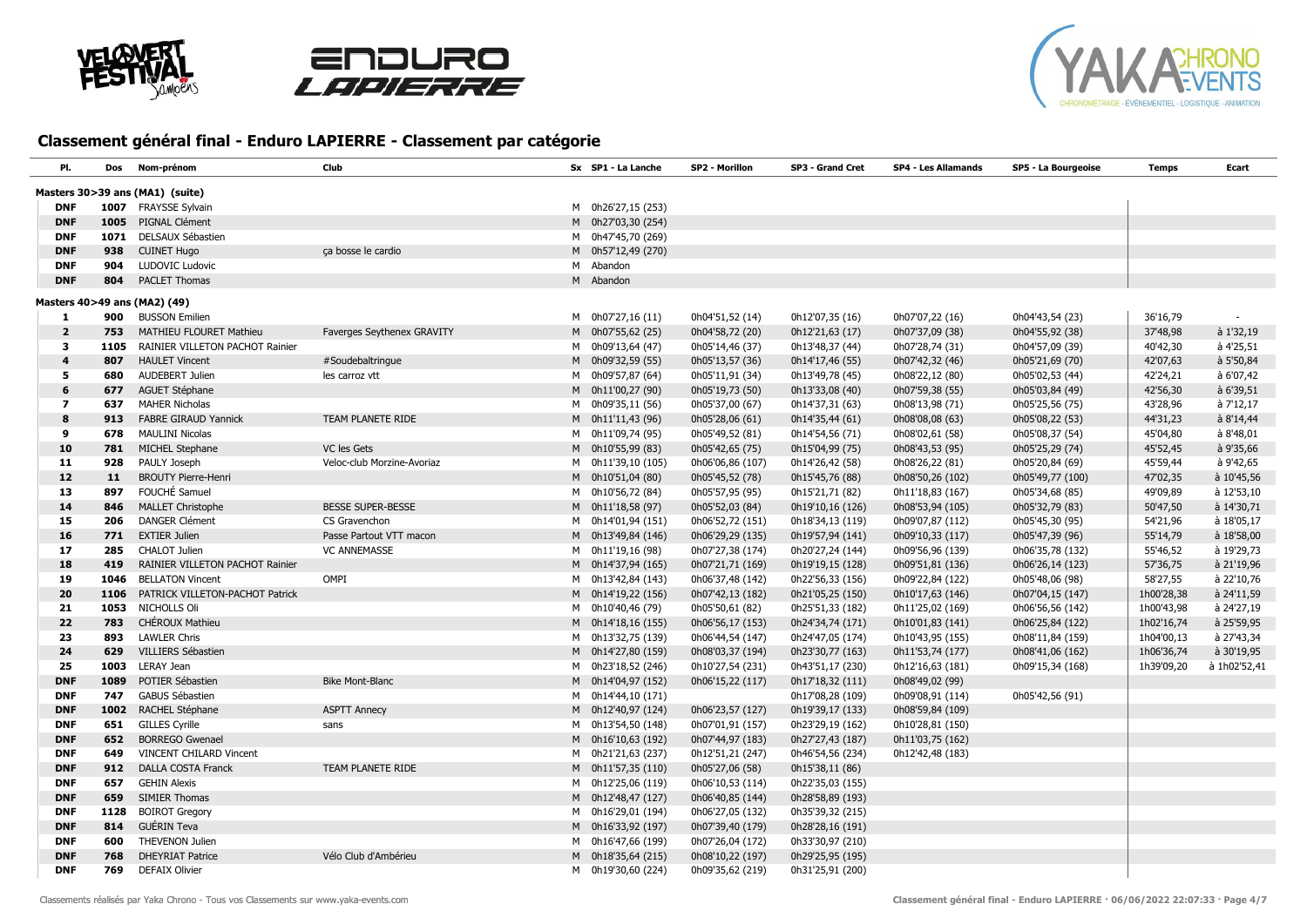





| PI.                      | Dos        | Nom-prénom                                               | <b>Club</b>                | Sx SP1 - La Lanche                       | SP2 - Morillon                       | SP3 - Grand Cret                    | <b>SP4 - Les Allamands</b> | SP5 - La Bourgeoise | Temps      | Ecart        |
|--------------------------|------------|----------------------------------------------------------|----------------------------|------------------------------------------|--------------------------------------|-------------------------------------|----------------------------|---------------------|------------|--------------|
|                          |            | Masters 30>39 ans (MA1) (suite)                          |                            |                                          |                                      |                                     |                            |                     |            |              |
| <b>DNF</b>               | 1007       | <b>FRAYSSE Sylvain</b>                                   |                            | M 0h26'27,15 (253)                       |                                      |                                     |                            |                     |            |              |
| <b>DNF</b>               |            | 1005 PIGNAL Clément                                      |                            | M 0h27'03,30 (254)                       |                                      |                                     |                            |                     |            |              |
| <b>DNF</b>               | 1071       | DELSAUX Sébastien                                        |                            | M 0h47'45,70 (269)                       |                                      |                                     |                            |                     |            |              |
| <b>DNF</b>               | 938        | <b>CUINET Hugo</b>                                       | ça bosse le cardio         | M 0h57'12,49 (270)                       |                                      |                                     |                            |                     |            |              |
| <b>DNF</b>               | 904        | LUDOVIC Ludovic                                          |                            | M Abandon                                |                                      |                                     |                            |                     |            |              |
| <b>DNF</b>               | 804        | <b>PACLET Thomas</b>                                     |                            | M Abandon                                |                                      |                                     |                            |                     |            |              |
|                          |            |                                                          |                            |                                          |                                      |                                     |                            |                     |            |              |
|                          |            | Masters 40>49 ans (MA2) (49)                             |                            |                                          |                                      |                                     |                            |                     |            |              |
| 1                        | 900        | <b>BUSSON Emilien</b>                                    |                            | M 0h07'27,16 (11)                        | 0h04'51,52 (14)                      | 0h12'07,35 (16)                     | 0h07'07,22 (16)            | 0h04'43,54 (23)     | 36'16,79   |              |
| $\overline{2}$           | 753        | MATHIEU FLOURET Mathieu                                  | Faverges Seythenex GRAVITY | M 0h07'55,62 (25)                        | 0h04'58,72 (20)                      | 0h12'21,63 (17)                     | 0h07'37,09 (38)            | 0h04'55,92 (38)     | 37'48,98   | à 1'32,19    |
| 3                        |            | 1105 RAINIER VILLETON PACHOT Rainier                     |                            | M 0h09'13,64 (47)                        | 0h05'14,46 (37)                      | 0h13'48,37 (44)                     | 0h07'28,74 (31)            | 0h04'57,09 (39)     | 40'42,30   | à 4'25,51    |
| $\overline{\mathbf{4}}$  | 807        | <b>HAULET Vincent</b>                                    | #Soudebaltringue           | M 0h09'32,59 (55)                        | 0h05'13,57 (36)                      | 0h14'17,46 (55)                     | 0h07'42,32 (46)            | 0h05'21,69 (70)     | 42'07,63   | à 5'50,84    |
| 5                        | 680        | AUDEBERT Julien                                          | les carroz vtt             | M 0h09'57,87 (64)                        | 0h05'11,91 (34)                      | 0h13'49,78 (45)                     | 0h08'22,12 (80)            | 0h05'02,53 (44)     | 42'24,21   | à 6'07,42    |
| 6                        | 677        | AGUET Stéphane                                           |                            | M 0h11'00,27 (90)                        | 0h05'19,73 (50)                      | 0h13'33,08 (40)                     | 0h07'59,38 (55)            | 0h05'03,84 (49)     | 42'56,30   | à 6'39,51    |
| $\overline{\mathbf{z}}$  | 637        | <b>MAHER Nicholas</b>                                    |                            | M 0h09'35,11 (56)                        | 0h05'37,00 (67)                      | 0h14'37,31 (63)                     | 0h08'13,98 (71)            | 0h05'25,56 (75)     | 43'28,96   | à 7'12,17    |
| 8                        | 913        | <b>FABRE GIRAUD Yannick</b>                              | TEAM PLANETE RIDE          | M 0h11'11,43 (96)                        | 0h05'28,06 (61)                      | 0h14'35,44 (61)                     | 0h08'08,08 (63)            | 0h05'08,22 (53)     | 44'31,23   | à 8'14,44    |
| 9                        | 678        | <b>MAULINI Nicolas</b>                                   |                            | M 0h11'09,74 (95)                        | 0h05'49,52 (81)                      | 0h14'54,56 (71)                     | 0h08'02,61 (58)            | 0h05'08,37 (54)     | 45'04,80   | à 8'48,01    |
| 10                       | 781        | MICHEL Stephane                                          | VC les Gets                | M 0h10'55,99 (83)                        | 0h05'42,65 (75)                      | 0h15'04,99 (75)                     | 0h08'43,53 (95)            | 0h05'25,29 (74)     | 45'52,45   | à 9'35,66    |
| 11                       | 928        | PAULY Joseph                                             | Veloc-club Morzine-Avoriaz | M 0h11'39,10 (105)                       | 0h06'06,86 (107)                     | 0h14'26,42 (58)                     | 0h08'26,22 (81)            | 0h05'20,84 (69)     | 45'59,44   | à 9'42,65    |
| 12                       | 11         | <b>BROUTY Pierre-Henri</b>                               |                            | M 0h10'51,04 (80)                        | 0h05'45,52 (78)                      | 0h15'45,76 (88)                     | 0h08'50,26 (102)           | 0h05'49,77 (100)    | 47'02,35   | à 10'45,56   |
| 13                       | 897        | FOUCHÉ Samuel                                            |                            | M 0h10'56,72 (84)                        | 0h05'57,95 (95)                      | 0h15'21,71 (82)                     | 0h11'18,83 (167)           | 0h05'34,68 (85)     | 49'09,89   | à 12'53,10   |
| 14                       | 846        | <b>MALLET Christophe</b>                                 | <b>BESSE SUPER-BESSE</b>   | M 0h11'18,58 (97)                        | 0h05'52,03 (84)                      | 0h19'10,16 (126)                    | 0h08'53,94 (105)           | 0h05'32,79 (83)     | 50'47,50   | à 14'30,71   |
| 15                       | 206        | <b>DANGER Clément</b>                                    | CS Gravenchon              | M 0h14'01,94 (151)                       | 0h06'52,72 (151)                     | 0h18'34,13 (119)                    | 0h09'07,87 (112)           | 0h05'45,30 (95)     | 54'21,96   | à 18'05,17   |
| 16                       | 771        | <b>EXTIER Julien</b>                                     | Passe Partout VTT macon    | M 0h13'49,84 (146)                       | 0h06'29,29 (135)                     | 0h19'57,94 (141)                    | 0h09'10,33 (117)           | 0h05'47,39 (96)     | 55'14,79   | à 18'58,00   |
| 17                       | 285        | CHALOT Julien                                            | <b>VC ANNEMASSE</b>        | M 0h11'19,16 (98)                        | 0h07'27,38 (174)                     | 0h20'27,24 (144)                    | 0h09'56,96 (139)           | 0h06'35,78 (132)    | 55'46,52   | à 19'29,73   |
| 18                       | 419        | RAINIER VILLETON PACHOT Rainier                          |                            | M 0h14'37,94 (165)                       | 0h07'21,71 (169)                     | 0h19'19,15 (128)                    | 0h09'51,81 (136)           | 0h06'26,14 (123)    | 57'36,75   | à 21'19,96   |
| 19                       | 1046       | <b>BELLATON Vincent</b>                                  | OMPI                       | M 0h13'42,84 (143)                       | 0h06'37,48 (142)                     | 0h22'56,33 (156)                    | 0h09'22,84 (122)           | 0h05'48,06 (98)     | 58'27,55   | à 22'10,76   |
| 20                       |            | 1106 PATRICK VILLETON-PACHOT Patrick                     |                            | M 0h14'19,22 (156)                       | 0h07'42,13 (182)                     | 0h21'05,25 (150)                    | 0h10'17,63 (146)           | 0h07'04,15 (147)    | 1h00'28,38 | à 24'11,59   |
| 21                       | 1053       | NICHOLLS Oli                                             |                            | M 0h10'40,46 (79)                        | 0h05'50,61 (82)                      | 0h25'51,33 (182)                    | 0h11'25,02 (169)           | 0h06'56,56 (142)    | 1h00'43,98 | à 24'27,19   |
| 22                       | 783        | CHÉROUX Mathieu                                          |                            | M 0h14'18,16 (155)                       | 0h06'56,17 (153)                     | 0h24'34,74 (171)                    | 0h10'01,83 (141)           | 0h06'25,84 (122)    | 1h02'16,74 | à 25'59,95   |
| 23                       | 893        | <b>LAWLER Chris</b>                                      |                            | M 0h13'32,75 (139)                       | 0h06'44,54 (147)                     | 0h24'47,05 (174)                    | 0h10'43,95 (155)           | 0h08'11,84 (159)    | 1h04'00,13 | à 27'43,34   |
| 24                       | 629        | VILLIERS Sébastien<br>1003 LERAY Jean                    |                            | M 0h14'27,80 (159)                       | 0h08'03,37 (194)                     | 0h23'30,77 (163)                    | 0h11'53,74 (177)           | 0h08'41,06 (162)    | 1h06'36,74 | à 30'19,95   |
| 25                       |            |                                                          |                            | M 0h23'18,52 (246)                       | 0h10'27,54 (231)                     | 0h43'51,17 (230)                    | 0h12'16,63 (181)           | 0h09'15,34 (168)    | 1h39'09,20 | à 1h02'52,41 |
| <b>DNF</b>               | 1089       | POTIER Sébastien                                         | <b>Bike Mont-Blanc</b>     | M 0h14'04,97 (152)                       | 0h06'15,22 (117)                     | 0h17'18,32 (111)                    | 0h08'49,02 (99)            |                     |            |              |
| <b>DNF</b>               | 747        | <b>GABUS Sébastien</b>                                   |                            | M 0h14'44,10 (171)                       |                                      | 0h17'08,28 (109)                    | 0h09'08,91 (114)           | 0h05'42,56 (91)     |            |              |
| <b>DNF</b>               |            | 1002 RACHEL Stéphane                                     | <b>ASPTT Annecy</b>        | M 0h12'40,97 (124)                       | 0h06'23,57 (127)                     | 0h19'39,17 (133)                    | 0h08'59,84 (109)           |                     |            |              |
| <b>DNF</b>               | 651        | <b>GILLES Cyrille</b>                                    | sans                       | M 0h13'54,50 (148)                       | 0h07'01,91 (157)                     | 0h23'29,19 (162)                    | 0h10'28,81 (150)           |                     |            |              |
| <b>DNF</b><br><b>DNF</b> | 652<br>649 | <b>BORREGO Gwenael</b><br><b>VINCENT CHILARD Vincent</b> |                            | M 0h16'10,63 (192)<br>M 0h21'21,63 (237) | 0h07'44,97 (183)<br>0h12'51,21 (247) | 0h27'27,43 (187)                    | 0h11'03,75 (162)           |                     |            |              |
|                          |            | <b>DALLA COSTA Franck</b>                                | TEAM PLANETE RIDE          |                                          |                                      | 0h46'54,56 (234)                    | 0h12'42,48 (183)           |                     |            |              |
| <b>DNF</b><br><b>DNF</b> | 912<br>657 | <b>GEHIN Alexis</b>                                      |                            | M 0h11'57,35 (110)<br>M 0h12'25,06 (119) | 0h05'27,06 (58)<br>0h06'10,53 (114)  | 0h15'38,11 (86)<br>0h22'35,03 (155) |                            |                     |            |              |
| <b>DNF</b>               | 659        | <b>SIMIER Thomas</b>                                     |                            | M 0h12'48,47 (127)                       | 0h06'40,85 (144)                     | 0h28'58,89 (193)                    |                            |                     |            |              |
| <b>DNF</b>               | 1128       | <b>BOIROT Gregory</b>                                    |                            | M 0h16'29,01 (194)                       | 0h06'27,05 (132)                     | 0h35'39,32 (215)                    |                            |                     |            |              |
| <b>DNF</b>               | 814        | <b>GUÉRIN Teva</b>                                       |                            | M 0h16'33,92 (197)                       | 0h07'39,40 (179)                     | 0h28'28,16 (191)                    |                            |                     |            |              |
| <b>DNF</b>               | 600        | THEVENON Julien                                          |                            | M 0h16'47,66 (199)                       | 0h07'26,04 (172)                     | 0h33'30,97 (210)                    |                            |                     |            |              |
| <b>DNF</b>               | 768        | <b>DHEYRIAT Patrice</b>                                  | Vélo Club d'Ambérieu       | M 0h18'35,64 (215)                       | 0h08'10,22 (197)                     | 0h29'25,95 (195)                    |                            |                     |            |              |
| <b>DNF</b>               | 769        | <b>DEFAIX Olivier</b>                                    |                            | M 0h19'30,60 (224)                       | 0h09'35,62 (219)                     | 0h31'25,91 (200)                    |                            |                     |            |              |
|                          |            |                                                          |                            |                                          |                                      |                                     |                            |                     |            |              |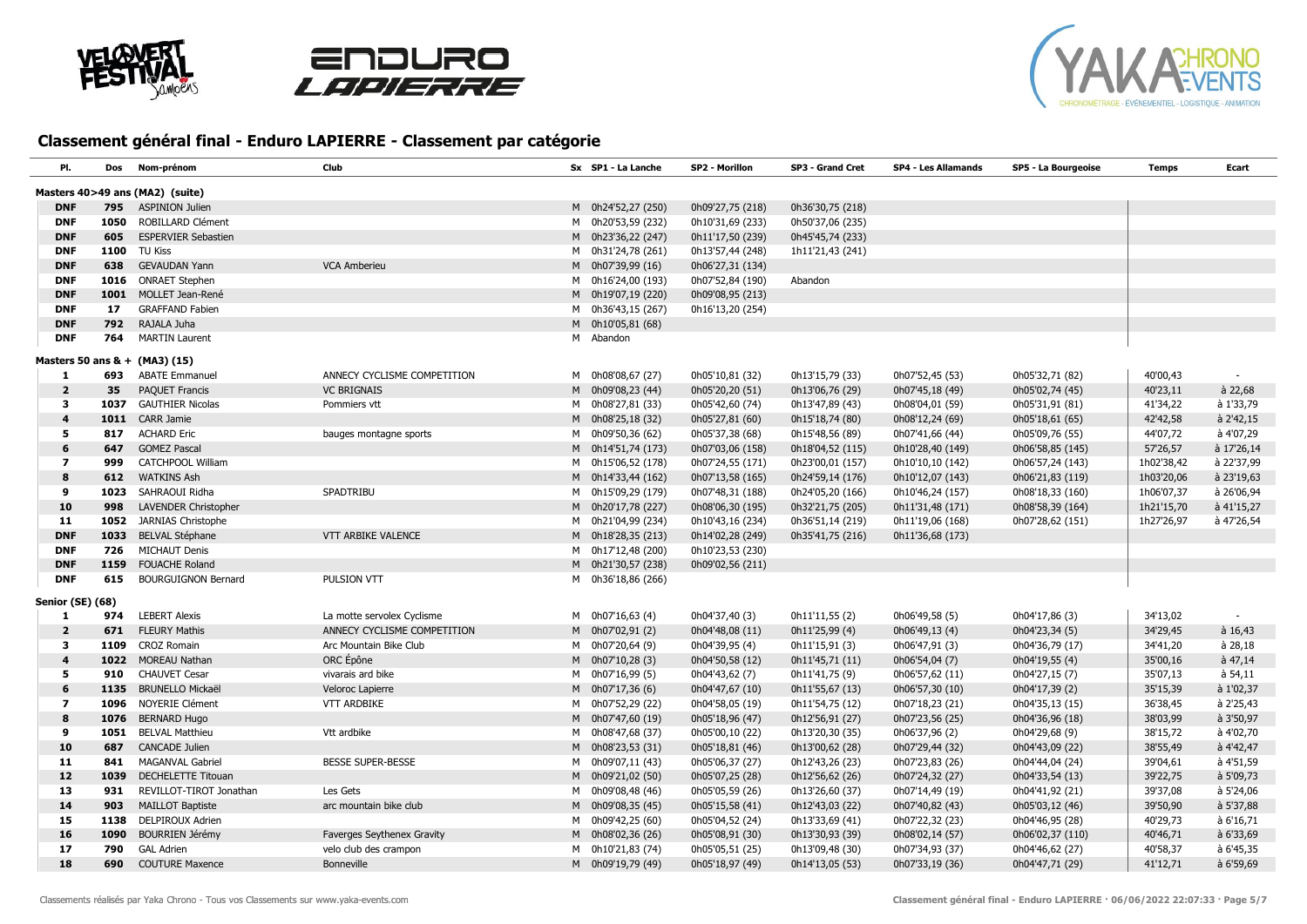





| PI.                     | Dos  | Nom-prénom                      | <b>Club</b>                       | Sx SP1 - La Lanche | SP2 - Morillon   | SP3 - Grand Cret | <b>SP4 - Les Allamands</b> | SP5 - La Bourgeoise | <b>Temps</b> | Ecart           |
|-------------------------|------|---------------------------------|-----------------------------------|--------------------|------------------|------------------|----------------------------|---------------------|--------------|-----------------|
|                         |      | Masters 40>49 ans (MA2) (suite) |                                   |                    |                  |                  |                            |                     |              |                 |
| <b>DNF</b>              | 795  | <b>ASPINION Julien</b>          |                                   | M 0h24'52,27 (250) | 0h09'27,75 (218) | 0h36'30,75 (218) |                            |                     |              |                 |
| <b>DNF</b>              |      | 1050 ROBILLARD Clément          |                                   | M 0h20'53,59 (232) | 0h10'31,69 (233) | 0h50'37,06 (235) |                            |                     |              |                 |
| <b>DNF</b>              | 605  | <b>ESPERVIER Sebastien</b>      |                                   | M 0h23'36,22 (247) | 0h11'17,50 (239) | 0h45'45,74 (233) |                            |                     |              |                 |
| <b>DNF</b>              | 1100 | <b>TU Kiss</b>                  |                                   | M 0h31'24,78 (261) | 0h13'57,44 (248) | 1h11'21,43 (241) |                            |                     |              |                 |
| <b>DNF</b>              | 638  | <b>GEVAUDAN Yann</b>            | <b>VCA Amberieu</b>               | M 0h07'39,99 (16)  | 0h06'27,31 (134) |                  |                            |                     |              |                 |
| <b>DNF</b>              |      | 1016 ONRAET Stephen             |                                   | M 0h16'24,00 (193) | 0h07'52,84 (190) | Abandon          |                            |                     |              |                 |
| <b>DNF</b>              |      | 1001 MOLLET Jean-René           |                                   | M 0h19'07,19 (220) | 0h09'08,95 (213) |                  |                            |                     |              |                 |
| <b>DNF</b>              | 17   | <b>GRAFFAND Fabien</b>          |                                   | M 0h36'43,15 (267) | 0h16'13,20 (254) |                  |                            |                     |              |                 |
| <b>DNF</b>              | 792  | RAJALA Juha                     |                                   | M 0h10'05,81 (68)  |                  |                  |                            |                     |              |                 |
| <b>DNF</b>              | 764  | <b>MARTIN Laurent</b>           |                                   | M Abandon          |                  |                  |                            |                     |              |                 |
|                         |      | Masters 50 ans & + (MA3) (15)   |                                   |                    |                  |                  |                            |                     |              |                 |
| 1                       | 693  | <b>ABATE Emmanuel</b>           | ANNECY CYCLISME COMPETITION       | M 0h08'08,67 (27)  | 0h05'10,81 (32)  | 0h13'15,79 (33)  | 0h07'52,45 (53)            | 0h05'32,71 (82)     | 40'00,43     |                 |
| $\overline{2}$          | 35   | <b>PAQUET Francis</b>           | <b>VC BRIGNAIS</b>                | M 0h09'08,23 (44)  | 0h05'20,20 (51)  | 0h13'06,76 (29)  | 0h07'45,18 (49)            | 0h05'02,74 (45)     | 40'23,11     | $a$ 22,68       |
| 3                       |      | 1037 GAUTHIER Nicolas           | Pommiers vtt                      | M 0h08'27,81 (33)  | 0h05'42,60 (74)  | 0h13'47,89 (43)  | 0h08'04,01 (59)            | 0h05'31,91 (81)     | 41'34,22     | à 1'33,79       |
| 4                       |      | 1011 CARR Jamie                 |                                   | M 0h08'25,18 (32)  | 0h05'27,81 (60)  | 0h15'18,74 (80)  | 0h08'12,24 (69)            | 0h05'18,61 (65)     | 42'42,58     | à 2'42,15       |
| 5                       | 817  | <b>ACHARD Eric</b>              | bauges montagne sports            | M 0h09'50,36 (62)  | 0h05'37,38 (68)  | 0h15'48,56 (89)  | 0h07'41,66 (44)            | 0h05'09,76 (55)     | 44'07,72     | à 4'07,29       |
| 6                       | 647  | <b>GOMEZ Pascal</b>             |                                   | M 0h14'51,74 (173) | 0h07'03,06 (158) | 0h18'04,52 (115) | 0h10'28,40 (149)           | 0h06'58,85 (145)    | 57'26,57     | à 17'26,14      |
| $\overline{7}$          | 999  | <b>CATCHPOOL William</b>        |                                   | M 0h15'06,52 (178) | 0h07'24,55 (171) | 0h23'00,01 (157) | 0h10'10,10 (142)           | 0h06'57,24 (143)    | 1h02'38,42   | à 22'37,99      |
| 8                       |      | 612 WATKINS Ash                 |                                   | M 0h14'33,44 (162) | 0h07'13,58 (165) | 0h24'59,14 (176) | 0h10'12,07 (143)           | 0h06'21,83 (119)    | 1h03'20,06   | à 23'19,63      |
| 9                       | 1023 | SAHRAOUI Ridha                  | SPADTRIBU                         | M 0h15'09,29 (179) | 0h07'48,31 (188) | 0h24'05,20 (166) | 0h10'46,24 (157)           | 0h08'18,33 (160)    | 1h06'07,37   | à 26'06,94      |
| 10                      | 998  | LAVENDER Christopher            |                                   | M 0h20'17,78 (227) | 0h08'06,30 (195) | 0h32'21,75 (205) | 0h11'31,48 (171)           | 0h08'58,39 (164)    | 1h21'15,70   | à 41'15,27      |
| 11                      | 1052 | <b>JARNIAS Christophe</b>       |                                   | M 0h21'04,99 (234) | 0h10'43,16 (234) | 0h36'51,14 (219) | 0h11'19,06 (168)           | 0h07'28,62 (151)    | 1h27'26,97   | à 47'26,54      |
| <b>DNF</b>              | 1033 | <b>BELVAL Stéphane</b>          | VTT ARBIKE VALENCE                | M 0h18'28,35 (213) | 0h14'02,28 (249) | 0h35'41,75 (216) | 0h11'36,68 (173)           |                     |              |                 |
| <b>DNF</b>              | 726  | <b>MICHAUT Denis</b>            |                                   | M 0h17'12,48 (200) | 0h10'23,53 (230) |                  |                            |                     |              |                 |
| <b>DNF</b>              |      | 1159 FOUACHE Roland             |                                   | M 0h21'30,57 (238) | 0h09'02,56 (211) |                  |                            |                     |              |                 |
| <b>DNF</b>              | 615  | <b>BOURGUIGNON Bernard</b>      | PULSION VTT                       | M 0h36'18,86 (266) |                  |                  |                            |                     |              |                 |
| <b>Senior (SE) (68)</b> |      |                                 |                                   |                    |                  |                  |                            |                     |              |                 |
| -1                      | 974  | <b>LEBERT Alexis</b>            | La motte servolex Cyclisme        | M 0h07'16,63 (4)   | 0h04'37,40 (3)   | 0h11'11,55 (2)   | 0h06'49,58 (5)             | 0h04'17,86 (3)      | 34'13,02     |                 |
| $\overline{2}$          | 671  | <b>FLEURY Mathis</b>            | ANNECY CYCLISME COMPETITION       | M 0h07'02,91 (2)   | 0h04'48,08 (11)  | 0h11'25,99 (4)   | 0h06'49,13(4)              | 0h04'23,34 (5)      | 34'29,45     | $a$ 16,43       |
| 3                       | 1109 | <b>CROZ Romain</b>              | Arc Mountain Bike Club            | M 0h07'20,64 (9)   | 0h04'39,95 (4)   | 0h11'15,91 (3)   | 0h06'47,91 (3)             | 0h04'36,79 (17)     | 34'41,20     | $\hat{a}$ 28,18 |
| 4                       |      | 1022 MOREAU Nathan              | ORC Épône                         | M 0h07'10,28 (3)   | 0h04'50,58 (12)  | 0h11'45,71 (11)  | 0h06'54,04 (7)             | 0h04'19,55 (4)      | 35'00,16     | $\dot{a}$ 47,14 |
| 5                       | 910  | <b>CHAUVET Cesar</b>            | vivarais ard bike                 | M 0h07'16,99 (5)   | 0h04'43,62 (7)   | 0h11'41,75 (9)   | 0h06'57,62 (11)            | 0h04'27,15 (7)      | 35'07,13     | à 54,11         |
| 6                       |      | 1135 BRUNELLO Mickaël           | Veloroc Lapierre                  | M 0h07'17,36 (6)   | 0h04'47,67 (10)  | 0h11'55,67 (13)  | 0h06'57,30 (10)            | 0h04'17,39 (2)      | 35'15,39     | à 1'02,37       |
| $\overline{z}$          |      | 1096 NOYERIE Clément            | <b>VTT ARDBIKE</b>                | M 0h07'52,29 (22)  | 0h04'58,05 (19)  | 0h11'54,75 (12)  | 0h07'18,23 (21)            | 0h04'35,13 (15)     | 36'38,45     | à 2'25,43       |
| 8                       | 1076 | <b>BERNARD Hugo</b>             |                                   | M 0h07'47,60 (19)  | 0h05'18,96 (47)  | 0h12'56,91 (27)  | 0h07'23,56 (25)            | 0h04'36,96 (18)     | 38'03,99     | à 3'50,97       |
| 9                       | 1051 | <b>BELVAL Matthieu</b>          | Vtt ardbike                       | M 0h08'47,68 (37)  | 0h05'00,10 (22)  | 0h13'20,30 (35)  | 0h06'37,96 (2)             | 0h04'29,68 (9)      | 38'15,72     | à 4'02,70       |
| 10                      | 687  | <b>CANCADE Julien</b>           |                                   | M 0h08'23,53 (31)  | 0h05'18,81 (46)  | 0h13'00,62 (28)  | 0h07'29,44 (32)            | 0h04'43,09 (22)     | 38'55,49     | à 4'42,47       |
| 11                      | 841  | <b>MAGANVAL Gabriel</b>         | <b>BESSE SUPER-BESSE</b>          | M 0h09'07,11 (43)  | 0h05'06,37 (27)  | 0h12'43,26 (23)  | 0h07'23,83 (26)            | 0h04'44,04 (24)     | 39'04,61     | à 4'51,59       |
| 12                      | 1039 | <b>DECHELETTE Titouan</b>       |                                   | M 0h09'21,02 (50)  | 0h05'07,25 (28)  | 0h12'56,62 (26)  | 0h07'24,32 (27)            | 0h04'33,54 (13)     | 39'22,75     | à 5'09,73       |
| 13                      | 931  | REVILLOT-TIROT Jonathan         | Les Gets                          | M 0h09'08,48 (46)  | 0h05'05,59 (26)  | 0h13'26,60 (37)  | 0h07'14,49 (19)            | 0h04'41,92 (21)     | 39'37,08     | à 5'24,06       |
| 14                      | 903  | <b>MAILLOT Baptiste</b>         | arc mountain bike club            | M 0h09'08,35 (45)  | 0h05'15,58 (41)  | 0h12'43,03 (22)  | 0h07'40,82 (43)            | 0h05'03,12 (46)     | 39'50,90     | à 5'37,88       |
| 15                      | 1138 | <b>DELPIROUX Adrien</b>         |                                   | M 0h09'42,25 (60)  | 0h05'04,52 (24)  | 0h13'33,69 (41)  | 0h07'22,32 (23)            | 0h04'46,95 (28)     | 40'29,73     | à 6'16,71       |
| 16                      | 1090 | <b>BOURRIEN Jérémy</b>          | <b>Faverges Seythenex Gravity</b> | M 0h08'02,36 (26)  | 0h05'08,91 (30)  | 0h13'30,93 (39)  | 0h08'02,14 (57)            | 0h06'02,37 (110)    | 40'46,71     | à 6'33,69       |
| 17                      | 790  | <b>GAL Adrien</b>               | velo club des crampon             | M 0h10'21,83 (74)  | 0h05'05,51 (25)  | 0h13'09,48 (30)  | 0h07'34,93 (37)            | 0h04'46,62 (27)     | 40'58,37     | à 6'45,35       |
| 18                      | 690  | <b>COUTURE Maxence</b>          | <b>Bonneville</b>                 | M 0h09'19,79 (49)  | 0h05'18,97 (49)  | 0h14'13,05 (53)  | 0h07'33,19 (36)            | 0h04'47,71 (29)     | 41'12,71     | $a$ 6'59,69     |
|                         |      |                                 |                                   |                    |                  |                  |                            |                     |              |                 |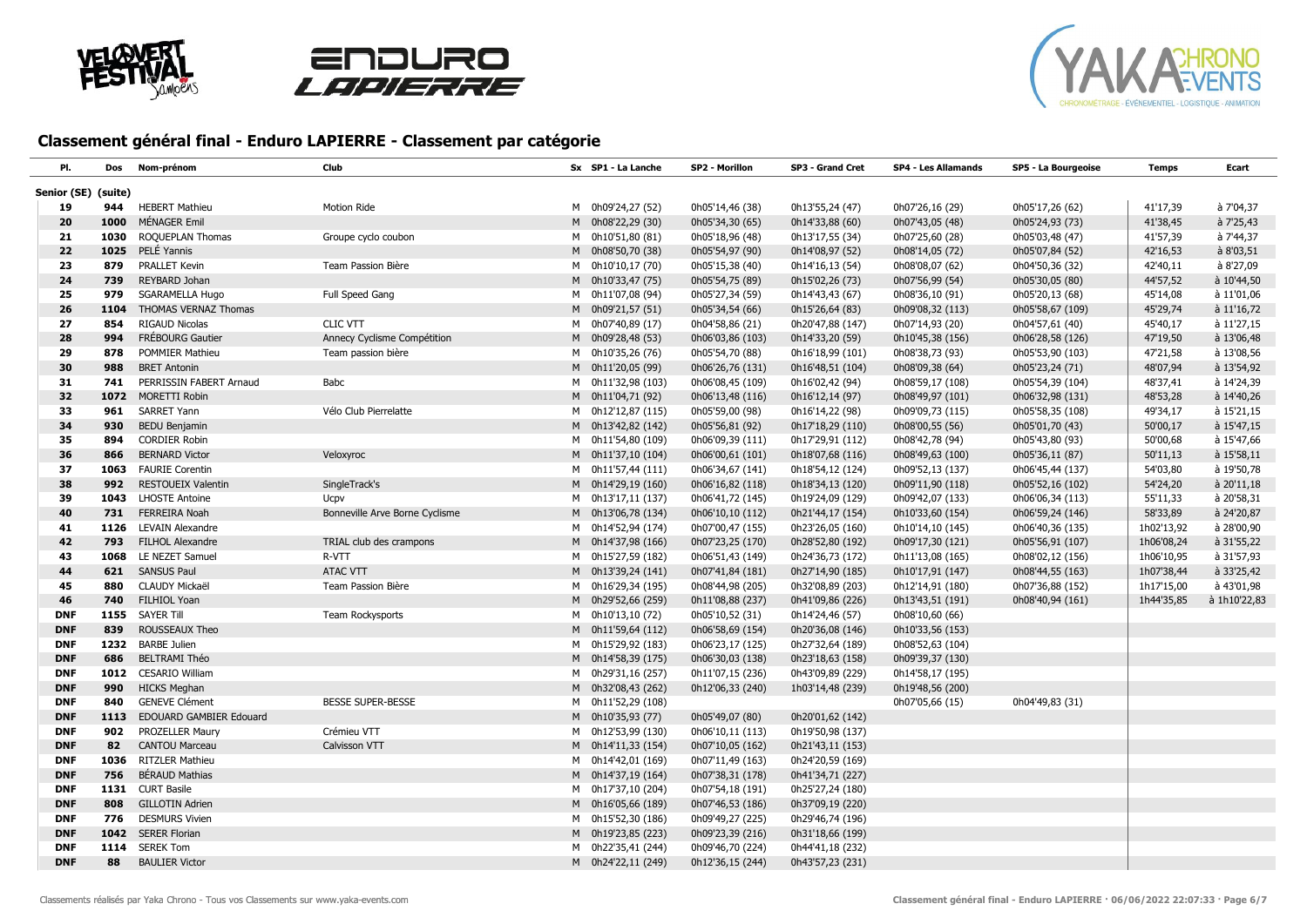





| Pl.                 | Dos  | Nom-prénom              | Club                           | Sx SP1 - La Lanche | SP2 - Morillon   | SP3 - Grand Cret | <b>SP4 - Les Allamands</b> | SP5 - La Bourgeoise | <b>Temps</b> | Ecart        |
|---------------------|------|-------------------------|--------------------------------|--------------------|------------------|------------------|----------------------------|---------------------|--------------|--------------|
| Senior (SE) (suite) |      |                         |                                |                    |                  |                  |                            |                     |              |              |
| 19                  | 944  | <b>HEBERT Mathieu</b>   | Motion Ride                    | M 0h09'24,27 (52)  | 0h05'14,46 (38)  | 0h13'55,24 (47)  | 0h07'26,16 (29)            | 0h05'17,26 (62)     | 41'17,39     | à 7'04,37    |
| 20                  | 1000 | MÉNAGER Emil            |                                | M 0h08'22,29 (30)  | 0h05'34,30 (65)  | 0h14'33,88 (60)  | 0h07'43,05 (48)            | 0h05'24,93 (73)     | 41'38,45     | à 7'25,43    |
| 21                  | 1030 | ROQUEPLAN Thomas        | Groupe cyclo coubon            | M 0h10'51,80 (81)  | 0h05'18,96 (48)  | 0h13'17,55 (34)  | 0h07'25,60 (28)            | 0h05'03,48 (47)     | 41'57,39     | à 7'44,37    |
| 22                  | 1025 | PELÉ Yannis             |                                | M 0h08'50,70 (38)  | 0h05'54,97 (90)  | 0h14'08,97 (52)  | 0h08'14,05 (72)            | 0h05'07,84 (52)     | 42'16,53     | à 8'03,51    |
| 23                  | 879  | <b>PRALLET Kevin</b>    | Team Passion Bière             | M 0h10'10,17 (70)  | 0h05'15,38 (40)  | 0h14'16,13 (54)  | 0h08'08,07 (62)            | 0h04'50,36 (32)     | 42'40,11     | à 8'27,09    |
| 24                  | 739  | REYBARD Johan           |                                | M 0h10'33,47 (75)  | 0h05'54,75 (89)  | 0h15'02,26 (73)  | 0h07'56,99 (54)            | 0h05'30,05 (80)     | 44'57,52     | à 10'44,50   |
| 25                  | 979  | SGARAMELLA Hugo         | Full Speed Gang                | M 0h11'07,08 (94)  | 0h05'27,34 (59)  | 0h14'43,43 (67)  | 0h08'36,10 (91)            | 0h05'20,13 (68)     | 45'14,08     | à 11'01,06   |
| 26                  | 1104 | THOMAS VERNAZ Thomas    |                                | M 0h09'21,57 (51)  | 0h05'34,54 (66)  | 0h15'26,64 (83)  | 0h09'08,32 (113)           | 0h05'58,67 (109)    | 45'29,74     | à 11'16,72   |
| 27                  | 854  | <b>RIGAUD Nicolas</b>   | <b>CLIC VTT</b>                | M 0h07'40,89 (17)  | 0h04'58,86 (21)  | 0h20'47,88 (147) | 0h07'14,93 (20)            | 0h04'57,61 (40)     | 45'40,17     | à 11'27,15   |
| 28                  | 994  | FRÉBOURG Gautier        | Annecy Cyclisme Compétition    | M 0h09'28,48 (53)  | 0h06'03,86 (103) | 0h14'33,20 (59)  | 0h10'45,38 (156)           | 0h06'28,58 (126)    | 47'19,50     | à 13'06,48   |
| 29                  | 878  | POMMIER Mathieu         | Team passion bière             | M 0h10'35,26 (76)  | 0h05'54,70 (88)  | 0h16'18,99 (101) | 0h08'38,73 (93)            | 0h05'53,90 (103)    | 47'21,58     | à 13'08,56   |
| 30                  | 988  | <b>BRET Antonin</b>     |                                | M 0h11'20,05 (99)  | 0h06'26,76 (131) | 0h16'48,51 (104) | 0h08'09,38 (64)            | 0h05'23,24 (71)     | 48'07,94     | à 13'54,92   |
| 31                  | 741  | PERRISSIN FABERT Arnaud | Babc                           | M 0h11'32,98 (103) | 0h06'08,45 (109) | 0h16'02,42 (94)  | 0h08'59,17 (108)           | 0h05'54,39 (104)    | 48'37,41     | à 14'24,39   |
| 32                  |      | 1072 MORETTI Robin      |                                | M 0h11'04,71 (92)  | 0h06'13,48 (116) | 0h16'12,14 (97)  | 0h08'49,97 (101)           | 0h06'32,98 (131)    | 48'53,28     | à 14'40,26   |
| 33                  | 961  | SARRET Yann             | Vélo Club Pierrelatte          | M 0h12'12,87 (115) | 0h05'59,00 (98)  | 0h16'14,22 (98)  | 0h09'09,73 (115)           | 0h05'58,35 (108)    | 49'34,17     | à 15'21,15   |
| 34                  | 930  | <b>BEDU Benjamin</b>    |                                | M 0h13'42,82 (142) | 0h05'56,81 (92)  | 0h17'18,29 (110) | 0h08'00,55 (56)            | 0h05'01,70 (43)     | 50'00,17     | à 15'47,15   |
| 35                  | 894  | <b>CORDIER Robin</b>    |                                | M 0h11'54,80 (109) | 0h06'09,39 (111) | 0h17'29,91 (112) | 0h08'42,78 (94)            | 0h05'43,80 (93)     | 50'00,68     | à 15'47,66   |
| 36                  | 866  | <b>BERNARD Victor</b>   | Veloxyroc                      | M 0h11'37,10 (104) | 0h06'00,61 (101) | 0h18'07,68 (116) | 0h08'49,63 (100)           | 0h05'36,11 (87)     | 50'11,13     | à 15'58,11   |
| 37                  | 1063 | <b>FAURIE Corentin</b>  |                                | M 0h11'57,44 (111) | 0h06'34,67 (141) | 0h18'54,12 (124) | 0h09'52,13 (137)           | 0h06'45,44 (137)    | 54'03,80     | à 19'50,78   |
| 38                  | 992  | RESTOUEIX Valentin      | SingleTrack's                  | M 0h14'29,19 (160) | 0h06'16,82 (118) | 0h18'34,13 (120) | 0h09'11,90 (118)           | 0h05'52,16 (102)    | 54'24,20     | à 20'11,18   |
| 39                  | 1043 | <b>LHOSTE Antoine</b>   | Ucpy                           | M 0h13'17,11 (137) | 0h06'41,72 (145) | 0h19'24,09 (129) | 0h09'42,07 (133)           | 0h06'06,34 (113)    | 55'11,33     | à 20'58,31   |
| 40                  | 731  | <b>FERREIRA Noah</b>    | Bonneville Arve Borne Cyclisme | M 0h13'06,78 (134) | 0h06'10,10 (112) | 0h21'44,17 (154) | 0h10'33,60 (154)           | 0h06'59,24 (146)    | 58'33,89     | à 24'20,87   |
| 41                  | 1126 | LEVAIN Alexandre        |                                | M 0h14'52,94 (174) | 0h07'00,47 (155) | 0h23'26,05 (160) | 0h10'14,10 (145)           | 0h06'40,36 (135)    | 1h02'13,92   | à 28'00,90   |
| 42                  | 793  | <b>FILHOL Alexandre</b> | TRIAL club des crampons        | M 0h14'37,98 (166) | 0h07'23,25 (170) | 0h28'52,80 (192) | 0h09'17,30 (121)           | 0h05'56,91 (107)    | 1h06'08,24   | à 31'55,22   |
| 43                  | 1068 | LE NEZET Samuel         | R-VTT                          | M 0h15'27,59 (182) | 0h06'51,43 (149) | 0h24'36,73 (172) | 0h11'13,08 (165)           | 0h08'02,12 (156)    | 1h06'10,95   | à 31'57,93   |
| 44                  |      | 621 SANSUS Paul         | <b>ATAC VTT</b>                | M 0h13'39,24 (141) | 0h07'41,84 (181) | 0h27'14,90 (185) | 0h10'17,91 (147)           | 0h08'44,55 (163)    | 1h07'38,44   | à 33'25,42   |
| 45                  | 880  | CLAUDY Mickaël          | Team Passion Bière             | M 0h16'29,34 (195) | 0h08'44,98 (205) | 0h32'08,89 (203) | 0h12'14,91 (180)           | 0h07'36,88 (152)    | 1h17'15,00   | à 43'01,98   |
| 46                  | 740  | FILHIOL Yoan            |                                | M 0h29'52,66 (259) | 0h11'08,88 (237) | 0h41'09,86 (226) | 0h13'43,51 (191)           | 0h08'40,94 (161)    | 1h44'35,85   | à 1h10'22,83 |
| <b>DNF</b>          | 1155 | <b>SAYER Till</b>       | Team Rockysports               | M 0h10'13,10 (72)  | 0h05'10,52 (31)  | 0h14'24,46 (57)  | 0h08'10,60 (66)            |                     |              |              |
| <b>DNF</b>          | 839  | ROUSSEAUX Theo          |                                | M 0h11'59,64 (112) | 0h06'58,69 (154) | 0h20'36,08 (146) | 0h10'33,56 (153)           |                     |              |              |
| <b>DNF</b>          | 1232 | <b>BARBE Julien</b>     |                                | M 0h15'29,92 (183) | 0h06'23,17 (125) | 0h27'32,64 (189) | 0h08'52,63 (104)           |                     |              |              |
| <b>DNF</b>          | 686  | <b>BELTRAMI Théo</b>    |                                | M 0h14'58,39 (175) | 0h06'30,03 (138) | 0h23'18,63 (158) | 0h09'39,37 (130)           |                     |              |              |
| <b>DNF</b>          | 1012 | <b>CESARIO William</b>  |                                | M 0h29'31,16 (257) | 0h11'07,15 (236) | 0h43'09,89 (229) | 0h14'58,17 (195)           |                     |              |              |
| <b>DNF</b>          | 990  | <b>HICKS Meghan</b>     |                                | M 0h32'08,43 (262) | 0h12'06,33 (240) | 1h03'14,48 (239) | 0h19'48,56 (200)           |                     |              |              |
| <b>DNF</b>          | 840  | <b>GENEVE Clément</b>   | BESSE SUPER-BESSE              | M 0h11'52,29 (108) |                  |                  | 0h07'05,66 (15)            | 0h04'49,83 (31)     |              |              |
| <b>DNF</b>          | 1113 | EDOUARD GAMBIER Edouard |                                | M 0h10'35,93 (77)  | 0h05'49,07 (80)  | 0h20'01,62 (142) |                            |                     |              |              |
| <b>DNF</b>          | 902  | PROZELLER Maury         | Crémieu VTT                    | M 0h12'53,99 (130) | 0h06'10,11 (113) | 0h19'50,98 (137) |                            |                     |              |              |
| <b>DNF</b>          | 82   | <b>CANTOU Marceau</b>   | Calvisson VTT                  | M 0h14'11,33 (154) | 0h07'10,05 (162) | 0h21'43,11 (153) |                            |                     |              |              |
| <b>DNF</b>          | 1036 | <b>RITZLER Mathieu</b>  |                                | M 0h14'42,01 (169) | 0h07'11,49 (163) | 0h24'20,59 (169) |                            |                     |              |              |
| <b>DNF</b>          | 756  | <b>BÉRAUD Mathias</b>   |                                | M 0h14'37,19 (164) | 0h07'38,31 (178) | 0h41'34,71 (227) |                            |                     |              |              |
| <b>DNF</b>          | 1131 | <b>CURT Basile</b>      |                                | M 0h17'37,10 (204) | 0h07'54,18 (191) | 0h25'27,24 (180) |                            |                     |              |              |
| <b>DNF</b>          | 808  | <b>GILLOTIN Adrien</b>  |                                | M 0h16'05,66 (189) | 0h07'46,53 (186) | 0h37'09,19 (220) |                            |                     |              |              |
| <b>DNF</b>          | 776  | <b>DESMURS Vivien</b>   |                                | M 0h15'52,30 (186) | 0h09'49,27 (225) | 0h29'46,74 (196) |                            |                     |              |              |
| <b>DNF</b>          |      | 1042 SERER Florian      |                                | M 0h19'23,85 (223) | 0h09'23,39 (216) | 0h31'18,66 (199) |                            |                     |              |              |
| <b>DNF</b>          |      | 1114 SEREK Tom          |                                | M 0h22'35,41 (244) | 0h09'46,70 (224) | 0h44'41,18 (232) |                            |                     |              |              |
| <b>DNF</b>          | 88   | <b>BAULIER Victor</b>   |                                | M 0h24'22,11 (249) | 0h12'36,15 (244) | 0h43'57,23 (231) |                            |                     |              |              |
|                     |      |                         |                                |                    |                  |                  |                            |                     |              |              |